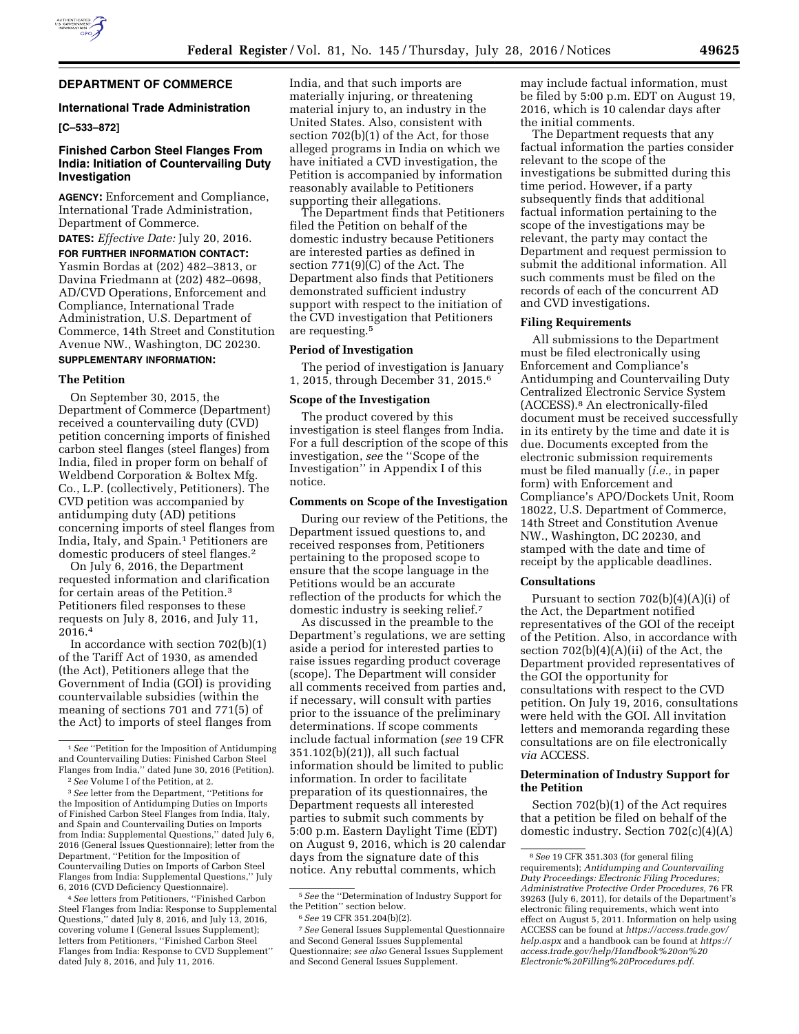

# **DEPARTMENT OF COMMERCE**

#### **International Trade Administration**

# **[C–533–872]**

# **Finished Carbon Steel Flanges From India: Initiation of Countervailing Duty Investigation**

**AGENCY:** Enforcement and Compliance, International Trade Administration, Department of Commerce. **DATES:** *Effective Date:* July 20, 2016.

**FOR FURTHER INFORMATION CONTACT:**  Yasmin Bordas at (202) 482–3813, or Davina Friedmann at (202) 482–0698, AD/CVD Operations, Enforcement and Compliance, International Trade Administration, U.S. Department of Commerce, 14th Street and Constitution

# Avenue NW., Washington, DC 20230. **SUPPLEMENTARY INFORMATION:**

#### **The Petition**

On September 30, 2015, the Department of Commerce (Department) received a countervailing duty (CVD) petition concerning imports of finished carbon steel flanges (steel flanges) from India, filed in proper form on behalf of Weldbend Corporation & Boltex Mfg. Co., L.P. (collectively, Petitioners). The CVD petition was accompanied by antidumping duty (AD) petitions concerning imports of steel flanges from India, Italy, and Spain.<sup>1</sup> Petitioners are domestic producers of steel flanges.2

On July 6, 2016, the Department requested information and clarification for certain areas of the Petition.3 Petitioners filed responses to these requests on July 8, 2016, and July 11, 2016.4

In accordance with section  $702(b)(1)$ of the Tariff Act of 1930, as amended (the Act), Petitioners allege that the Government of India (GOI) is providing countervailable subsidies (within the meaning of sections 701 and 771(5) of the Act) to imports of steel flanges from

4*See* letters from Petitioners, ''Finished Carbon Steel Flanges from India: Response to Supplemental Questions,'' dated July 8, 2016, and July 13, 2016, covering volume I (General Issues Supplement); letters from Petitioners, ''Finished Carbon Steel Flanges from India: Response to CVD Supplement'' dated July 8, 2016, and July 11, 2016.

India, and that such imports are materially injuring, or threatening material injury to, an industry in the United States. Also, consistent with section 702(b)(1) of the Act, for those alleged programs in India on which we have initiated a CVD investigation, the Petition is accompanied by information reasonably available to Petitioners supporting their allegations.

The Department finds that Petitioners filed the Petition on behalf of the domestic industry because Petitioners are interested parties as defined in section 771(9)(C) of the Act. The Department also finds that Petitioners demonstrated sufficient industry support with respect to the initiation of the CVD investigation that Petitioners are requesting.5

# **Period of Investigation**

The period of investigation is January 1, 2015, through December 31, 2015.6

## **Scope of the Investigation**

The product covered by this investigation is steel flanges from India. For a full description of the scope of this investigation, *see* the ''Scope of the Investigation'' in Appendix I of this notice.

#### **Comments on Scope of the Investigation**

During our review of the Petitions, the Department issued questions to, and received responses from, Petitioners pertaining to the proposed scope to ensure that the scope language in the Petitions would be an accurate reflection of the products for which the domestic industry is seeking relief.7

As discussed in the preamble to the Department's regulations, we are setting aside a period for interested parties to raise issues regarding product coverage (scope). The Department will consider all comments received from parties and, if necessary, will consult with parties prior to the issuance of the preliminary determinations. If scope comments include factual information (*see* 19 CFR 351.102(b)(21)), all such factual information should be limited to public information. In order to facilitate preparation of its questionnaires, the Department requests all interested parties to submit such comments by 5:00 p.m. Eastern Daylight Time (EDT) on August 9, 2016, which is 20 calendar days from the signature date of this notice. Any rebuttal comments, which

may include factual information, must be filed by 5:00 p.m. EDT on August 19, 2016, which is 10 calendar days after the initial comments.

The Department requests that any factual information the parties consider relevant to the scope of the investigations be submitted during this time period. However, if a party subsequently finds that additional factual information pertaining to the scope of the investigations may be relevant, the party may contact the Department and request permission to submit the additional information. All such comments must be filed on the records of each of the concurrent AD and CVD investigations.

#### **Filing Requirements**

All submissions to the Department must be filed electronically using Enforcement and Compliance's Antidumping and Countervailing Duty Centralized Electronic Service System (ACCESS).8 An electronically-filed document must be received successfully in its entirety by the time and date it is due. Documents excepted from the electronic submission requirements must be filed manually (*i.e.,* in paper form) with Enforcement and Compliance's APO/Dockets Unit, Room 18022, U.S. Department of Commerce, 14th Street and Constitution Avenue NW., Washington, DC 20230, and stamped with the date and time of receipt by the applicable deadlines.

## **Consultations**

Pursuant to section 702(b)(4)(A)(i) of the Act, the Department notified representatives of the GOI of the receipt of the Petition. Also, in accordance with section  $702(b)(4)(A)(ii)$  of the Act, the Department provided representatives of the GOI the opportunity for consultations with respect to the CVD petition. On July 19, 2016, consultations were held with the GOI. All invitation letters and memoranda regarding these consultations are on file electronically *via* ACCESS.

## **Determination of Industry Support for the Petition**

Section 702(b)(1) of the Act requires that a petition be filed on behalf of the domestic industry. Section 702(c)(4)(A)

<sup>1</sup>*See* ''Petition for the Imposition of Antidumping and Countervailing Duties: Finished Carbon Steel Flanges from India,'' dated June 30, 2016 (Petition).

<sup>2</sup>*See* Volume I of the Petition, at 2.

<sup>3</sup>*See* letter from the Department, ''Petitions for the Imposition of Antidumping Duties on Imports of Finished Carbon Steel Flanges from India, Italy, and Spain and Countervailing Duties on Imports from India: Supplemental Questions,'' dated July 6, 2016 (General Issues Questionnaire); letter from the Department, ''Petition for the Imposition of Countervailing Duties on Imports of Carbon Steel Flanges from India: Supplemental Questions,'' July 6, 2016 (CVD Deficiency Questionnaire).

<sup>5</sup>*See* the ''Determination of Industry Support for the Petition'' section below.

<sup>6</sup>*See* 19 CFR 351.204(b)(2).

<sup>7</sup>*See* General Issues Supplemental Questionnaire and Second General Issues Supplemental Questionnaire; *see also* General Issues Supplement and Second General Issues Supplement.

<sup>8</sup>*See* 19 CFR 351.303 (for general filing requirements); *Antidumping and Countervailing Duty Proceedings: Electronic Filing Procedures; Administrative Protective Order Procedures,* 76 FR 39263 (July 6, 2011), for details of the Department's electronic filing requirements, which went into effect on August 5, 2011. Information on help using ACCESS can be found at *[https://access.trade.gov/](https://access.trade.gov/help.aspx) [help.aspx](https://access.trade.gov/help.aspx)* and a handbook can be found at *[https://](https://access.trade.gov/help/Handbook%20on%20Electronic%20Filling%20Procedures.pdf)  [access.trade.gov/help/Handbook%20on%20](https://access.trade.gov/help/Handbook%20on%20Electronic%20Filling%20Procedures.pdf) [Electronic%20Filling%20Procedures.pdf](https://access.trade.gov/help/Handbook%20on%20Electronic%20Filling%20Procedures.pdf)*.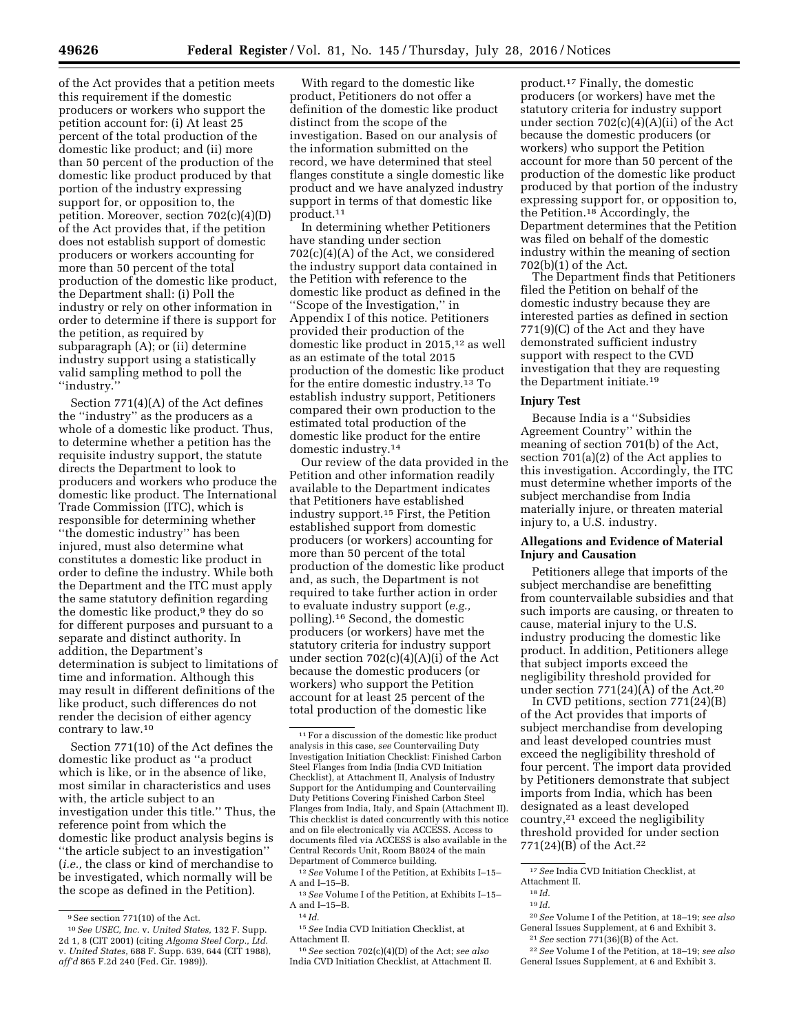of the Act provides that a petition meets this requirement if the domestic producers or workers who support the petition account for: (i) At least 25 percent of the total production of the domestic like product; and (ii) more than 50 percent of the production of the domestic like product produced by that portion of the industry expressing support for, or opposition to, the petition. Moreover, section 702(c)(4)(D) of the Act provides that, if the petition does not establish support of domestic producers or workers accounting for more than 50 percent of the total production of the domestic like product, the Department shall: (i) Poll the industry or rely on other information in order to determine if there is support for the petition, as required by subparagraph (A); or (ii) determine industry support using a statistically valid sampling method to poll the ''industry.''

Section 771(4)(A) of the Act defines the ''industry'' as the producers as a whole of a domestic like product. Thus, to determine whether a petition has the requisite industry support, the statute directs the Department to look to producers and workers who produce the domestic like product. The International Trade Commission (ITC), which is responsible for determining whether ''the domestic industry'' has been injured, must also determine what constitutes a domestic like product in order to define the industry. While both the Department and the ITC must apply the same statutory definition regarding the domestic like product,<sup>9</sup> they do so for different purposes and pursuant to a separate and distinct authority. In addition, the Department's determination is subject to limitations of time and information. Although this may result in different definitions of the like product, such differences do not render the decision of either agency contrary to law.10

Section 771(10) of the Act defines the domestic like product as ''a product which is like, or in the absence of like, most similar in characteristics and uses with, the article subject to an investigation under this title." Thus, the reference point from which the domestic like product analysis begins is ''the article subject to an investigation'' (*i.e.,* the class or kind of merchandise to be investigated, which normally will be the scope as defined in the Petition).

With regard to the domestic like product, Petitioners do not offer a definition of the domestic like product distinct from the scope of the investigation. Based on our analysis of the information submitted on the record, we have determined that steel flanges constitute a single domestic like product and we have analyzed industry support in terms of that domestic like product.11

In determining whether Petitioners have standing under section 702(c)(4)(A) of the Act, we considered the industry support data contained in the Petition with reference to the domestic like product as defined in the ''Scope of the Investigation,'' in Appendix I of this notice. Petitioners provided their production of the domestic like product in 2015,12 as well as an estimate of the total 2015 production of the domestic like product for the entire domestic industry.13 To establish industry support, Petitioners compared their own production to the estimated total production of the domestic like product for the entire domestic industry.14

Our review of the data provided in the Petition and other information readily available to the Department indicates that Petitioners have established industry support.15 First, the Petition established support from domestic producers (or workers) accounting for more than 50 percent of the total production of the domestic like product and, as such, the Department is not required to take further action in order to evaluate industry support (*e.g.,*  polling).16 Second, the domestic producers (or workers) have met the statutory criteria for industry support under section  $702(c)(4)(A)(i)$  of the Act because the domestic producers (or workers) who support the Petition account for at least 25 percent of the total production of the domestic like

12*See* Volume I of the Petition, at Exhibits I–15– A and I–15–B.

15*See* India CVD Initiation Checklist, at Attachment II.

16*See* section 702(c)(4)(D) of the Act; *see also*  India CVD Initiation Checklist, at Attachment II. product.17 Finally, the domestic producers (or workers) have met the statutory criteria for industry support under section 702(c)(4)(A)(ii) of the Act because the domestic producers (or workers) who support the Petition account for more than 50 percent of the production of the domestic like product produced by that portion of the industry expressing support for, or opposition to, the Petition.18 Accordingly, the Department determines that the Petition was filed on behalf of the domestic industry within the meaning of section 702(b)(1) of the Act.

The Department finds that Petitioners filed the Petition on behalf of the domestic industry because they are interested parties as defined in section 771(9)(C) of the Act and they have demonstrated sufficient industry support with respect to the CVD investigation that they are requesting the Department initiate.19

#### **Injury Test**

Because India is a ''Subsidies Agreement Country'' within the meaning of section 701(b) of the Act, section 701(a)(2) of the Act applies to this investigation. Accordingly, the ITC must determine whether imports of the subject merchandise from India materially injure, or threaten material injury to, a U.S. industry.

# **Allegations and Evidence of Material Injury and Causation**

Petitioners allege that imports of the subject merchandise are benefitting from countervailable subsidies and that such imports are causing, or threaten to cause, material injury to the U.S. industry producing the domestic like product. In addition, Petitioners allege that subject imports exceed the negligibility threshold provided for under section  $771(24)(A)$  of the Act.<sup>20</sup>

In CVD petitions, section 771(24)(B) of the Act provides that imports of subject merchandise from developing and least developed countries must exceed the negligibility threshold of four percent. The import data provided by Petitioners demonstrate that subject imports from India, which has been designated as a least developed country,21 exceed the negligibility threshold provided for under section 771(24)(B) of the Act.22

20*See* Volume I of the Petition, at 18–19; *see also*  General Issues Supplement, at 6 and Exhibit 3.

21*See* section 771(36)(B) of the Act. 22*See* Volume I of the Petition, at 18–19; *see also* 

<sup>9</sup>S*ee* section 771(10) of the Act.

<sup>10</sup>*See USEC, Inc.* v. *United States,* 132 F. Supp. 2d 1, 8 (CIT 2001) (citing *Algoma Steel Corp., Ltd.*  v. *United States,* 688 F. Supp. 639, 644 (CIT 1988), *aff'd* 865 F.2d 240 (Fed. Cir. 1989)).

 $^{\rm 11}\mathrm{For}$  a discussion of the domestic like product analysis in this case, *see* Countervailing Duty Investigation Initiation Checklist: Finished Carbon Steel Flanges from India (India CVD Initiation Checklist), at Attachment II, Analysis of Industry Support for the Antidumping and Countervailing Duty Petitions Covering Finished Carbon Steel Flanges from India, Italy, and Spain (Attachment II). This checklist is dated concurrently with this notice and on file electronically via ACCESS. Access to documents filed via ACCESS is also available in the Central Records Unit, Room B8024 of the main Department of Commerce building.

<sup>13</sup>*See* Volume I of the Petition, at Exhibits I–15– A and I–15–B.

<sup>14</sup> *Id.* 

<sup>17</sup>*See* India CVD Initiation Checklist, at Attachment II.

<sup>18</sup> *Id.* 

<sup>19</sup> *Id.* 

General Issues Supplement, at 6 and Exhibit 3.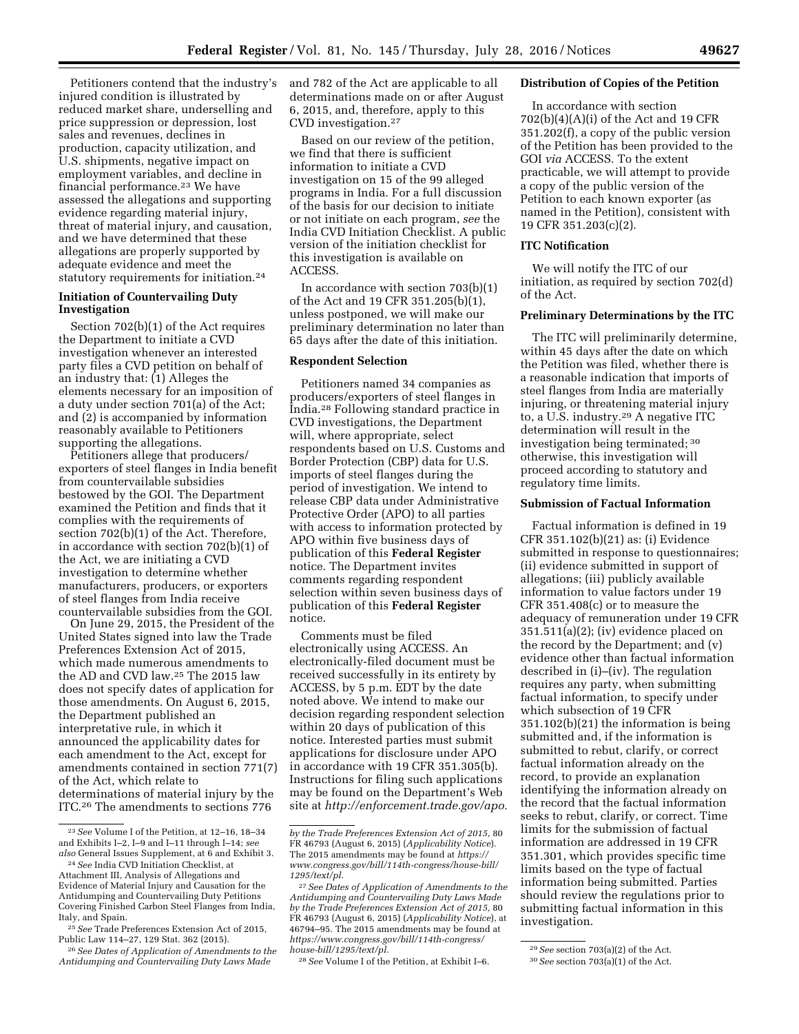Petitioners contend that the industry's injured condition is illustrated by reduced market share, underselling and price suppression or depression, lost sales and revenues, declines in production, capacity utilization, and U.S. shipments, negative impact on employment variables, and decline in financial performance.23 We have assessed the allegations and supporting evidence regarding material injury, threat of material injury, and causation, and we have determined that these allegations are properly supported by adequate evidence and meet the statutory requirements for initiation.24

## **Initiation of Countervailing Duty Investigation**

Section 702(b)(1) of the Act requires the Department to initiate a CVD investigation whenever an interested party files a CVD petition on behalf of an industry that: (1) Alleges the elements necessary for an imposition of a duty under section 701(a) of the Act; and (2) is accompanied by information reasonably available to Petitioners supporting the allegations.

Petitioners allege that producers/ exporters of steel flanges in India benefit from countervailable subsidies bestowed by the GOI. The Department examined the Petition and finds that it complies with the requirements of section 702(b)(1) of the Act. Therefore, in accordance with section 702(b)(1) of the Act, we are initiating a CVD investigation to determine whether manufacturers, producers, or exporters of steel flanges from India receive countervailable subsidies from the GOI.

On June 29, 2015, the President of the United States signed into law the Trade Preferences Extension Act of 2015, which made numerous amendments to the AD and CVD law.25 The 2015 law does not specify dates of application for those amendments. On August 6, 2015, the Department published an interpretative rule, in which it announced the applicability dates for each amendment to the Act, except for amendments contained in section 771(7) of the Act, which relate to determinations of material injury by the ITC.26 The amendments to sections 776

and 782 of the Act are applicable to all determinations made on or after August 6, 2015, and, therefore, apply to this CVD investigation.27

Based on our review of the petition, we find that there is sufficient information to initiate a CVD investigation on 15 of the 99 alleged programs in India. For a full discussion of the basis for our decision to initiate or not initiate on each program, *see* the India CVD Initiation Checklist. A public version of the initiation checklist for this investigation is available on ACCESS.

In accordance with section 703(b)(1) of the Act and 19 CFR 351.205(b)(1), unless postponed, we will make our preliminary determination no later than 65 days after the date of this initiation.

# **Respondent Selection**

Petitioners named 34 companies as producers/exporters of steel flanges in India.28 Following standard practice in CVD investigations, the Department will, where appropriate, select respondents based on U.S. Customs and Border Protection (CBP) data for U.S. imports of steel flanges during the period of investigation. We intend to release CBP data under Administrative Protective Order (APO) to all parties with access to information protected by APO within five business days of publication of this **Federal Register**  notice. The Department invites comments regarding respondent selection within seven business days of publication of this **Federal Register**  notice.

Comments must be filed electronically using ACCESS. An electronically-filed document must be received successfully in its entirety by ACCESS, by 5 p.m. EDT by the date noted above. We intend to make our decision regarding respondent selection within 20 days of publication of this notice. Interested parties must submit applications for disclosure under APO in accordance with 19 CFR 351.305(b). Instructions for filing such applications may be found on the Department's Web site at *[http://enforcement.trade.gov/apo.](http://enforcement.trade.gov/apo)* 

28*See* Volume I of the Petition, at Exhibit I–6.

#### **Distribution of Copies of the Petition**

In accordance with section 702(b)(4)(A)(i) of the Act and 19 CFR 351.202(f), a copy of the public version of the Petition has been provided to the GOI *via* ACCESS. To the extent practicable, we will attempt to provide a copy of the public version of the Petition to each known exporter (as named in the Petition), consistent with 19 CFR 351.203(c)(2).

# **ITC Notification**

We will notify the ITC of our initiation, as required by section 702(d) of the Act.

## **Preliminary Determinations by the ITC**

The ITC will preliminarily determine, within 45 days after the date on which the Petition was filed, whether there is a reasonable indication that imports of steel flanges from India are materially injuring, or threatening material injury to, a U.S. industry.29 A negative ITC determination will result in the investigation being terminated; 30 otherwise, this investigation will proceed according to statutory and regulatory time limits.

## **Submission of Factual Information**

Factual information is defined in 19 CFR 351.102(b)(21) as: (i) Evidence submitted in response to questionnaires; (ii) evidence submitted in support of allegations; (iii) publicly available information to value factors under 19 CFR 351.408(c) or to measure the adequacy of remuneration under 19 CFR 351.511(a)(2); (iv) evidence placed on the record by the Department; and (v) evidence other than factual information described in (i)–(iv). The regulation requires any party, when submitting factual information, to specify under which subsection of 19 CFR 351.102(b)(21) the information is being submitted and, if the information is submitted to rebut, clarify, or correct factual information already on the record, to provide an explanation identifying the information already on the record that the factual information seeks to rebut, clarify, or correct. Time limits for the submission of factual information are addressed in 19 CFR 351.301, which provides specific time limits based on the type of factual information being submitted. Parties should review the regulations prior to submitting factual information in this investigation.

<sup>23</sup>*See* Volume I of the Petition, at 12–16, 18–34 and Exhibits I–2, I–9 and I–11 through I–14; *see also* General Issues Supplement, at 6 and Exhibit 3.

<sup>24</sup>*See* India CVD Initiation Checklist, at Attachment III, Analysis of Allegations and Evidence of Material Injury and Causation for the Antidumping and Countervailing Duty Petitions Covering Finished Carbon Steel Flanges from India, Italy, and Spain.

<sup>25</sup>*See* Trade Preferences Extension Act of 2015, Public Law 114–27, 129 Stat. 362 (2015).

<sup>26</sup>*See Dates of Application of Amendments to the Antidumping and Countervailing Duty Laws Made* 

*by the Trade Preferences Extension Act of 2015,* 80 FR 46793 (August 6, 2015) (*Applicability Notice*). The 2015 amendments may be found at *[https://](https://www.congress.gov/bill/114th-congress/house-bill/1295/text/pl) [www.congress.gov/bill/114th-congress/house-bill/](https://www.congress.gov/bill/114th-congress/house-bill/1295/text/pl) [1295/text/pl.](https://www.congress.gov/bill/114th-congress/house-bill/1295/text/pl)* 

<sup>27</sup>*See Dates of Application of Amendments to the Antidumping and Countervailing Duty Laws Made by the Trade Preferences Extension Act of 2015,* 80 FR 46793 (August 6, 2015) (*Applicability Notice*), at 46794–95. The 2015 amendments may be found at *[https://www.congress.gov/bill/114th-congress/](https://www.congress.gov/bill/114th-congress/house-bill/1295/text/pl) [house-bill/1295/text/pl.](https://www.congress.gov/bill/114th-congress/house-bill/1295/text/pl)* 

<sup>29</sup>*See* section 703(a)(2) of the Act.

<sup>30</sup>*See* section 703(a)(1) of the Act.